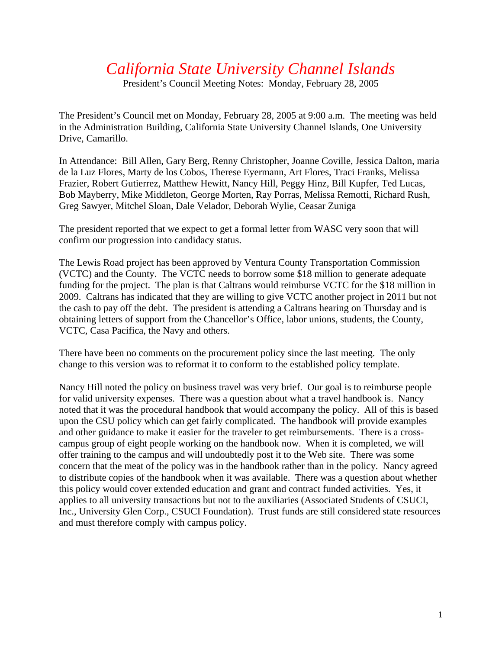## *California State University Channel Islands*

President's Council Meeting Notes: Monday, February 28, 2005

The President's Council met on Monday, February 28, 2005 at 9:00 a.m. The meeting was held in the Administration Building, California State University Channel Islands, One University Drive, Camarillo.

In Attendance: Bill Allen, Gary Berg, Renny Christopher, Joanne Coville, Jessica Dalton, maria de la Luz Flores, Marty de los Cobos, Therese Eyermann, Art Flores, Traci Franks, Melissa Frazier, Robert Gutierrez, Matthew Hewitt, Nancy Hill, Peggy Hinz, Bill Kupfer, Ted Lucas, Bob Mayberry, Mike Middleton, George Morten, Ray Porras, Melissa Remotti, Richard Rush, Greg Sawyer, Mitchel Sloan, Dale Velador, Deborah Wylie, Ceasar Zuniga

The president reported that we expect to get a formal letter from WASC very soon that will confirm our progression into candidacy status.

The Lewis Road project has been approved by Ventura County Transportation Commission (VCTC) and the County. The VCTC needs to borrow some \$18 million to generate adequate funding for the project. The plan is that Caltrans would reimburse VCTC for the \$18 million in 2009. Caltrans has indicated that they are willing to give VCTC another project in 2011 but not the cash to pay off the debt. The president is attending a Caltrans hearing on Thursday and is obtaining letters of support from the Chancellor's Office, labor unions, students, the County, VCTC, Casa Pacifica, the Navy and others.

There have been no comments on the procurement policy since the last meeting. The only change to this version was to reformat it to conform to the established policy template.

Nancy Hill noted the policy on business travel was very brief. Our goal is to reimburse people for valid university expenses. There was a question about what a travel handbook is. Nancy noted that it was the procedural handbook that would accompany the policy. All of this is based upon the CSU policy which can get fairly complicated. The handbook will provide examples and other guidance to make it easier for the traveler to get reimbursements. There is a crosscampus group of eight people working on the handbook now. When it is completed, we will offer training to the campus and will undoubtedly post it to the Web site. There was some concern that the meat of the policy was in the handbook rather than in the policy. Nancy agreed to distribute copies of the handbook when it was available. There was a question about whether this policy would cover extended education and grant and contract funded activities. Yes, it applies to all university transactions but not to the auxiliaries (Associated Students of CSUCI, Inc., University Glen Corp., CSUCI Foundation). Trust funds are still considered state resources and must therefore comply with campus policy.